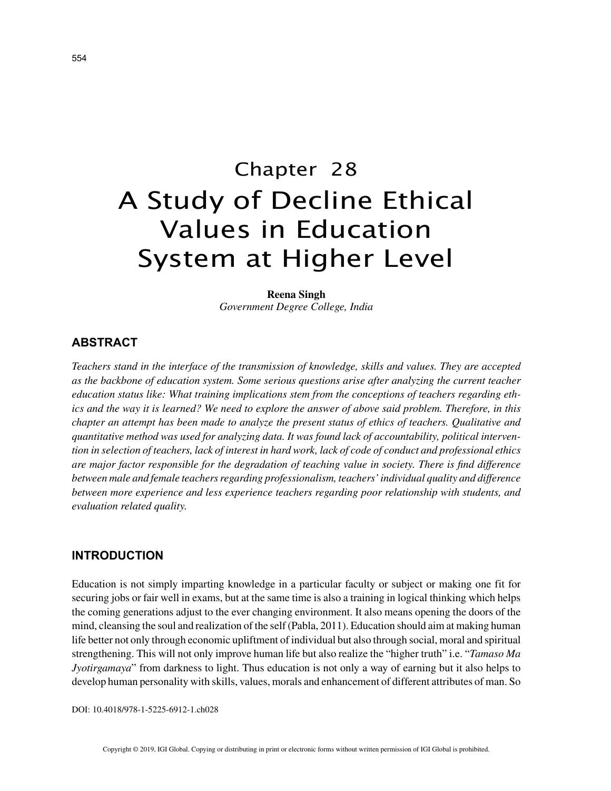# Chapter 28 A Study of Decline Ethical Values in Education System at Higher Level

**Reena Singh** *Government Degree College, India*

## **ABSTRACT**

*Teachers stand in the interface of the transmission of knowledge, skills and values. They are accepted as the backbone of education system. Some serious questions arise after analyzing the current teacher education status like: What training implications stem from the conceptions of teachers regarding ethics and the way it is learned? We need to explore the answer of above said problem. Therefore, in this chapter an attempt has been made to analyze the present status of ethics of teachers. Qualitative and quantitative method was used for analyzing data. It was found lack of accountability, political intervention in selection of teachers, lack of interest in hard work, lack of code of conduct and professional ethics are major factor responsible for the degradation of teaching value in society. There is find difference between male and female teachers regarding professionalism, teachers' individual quality and difference between more experience and less experience teachers regarding poor relationship with students, and evaluation related quality.*

## **INTRODUCTION**

Education is not simply imparting knowledge in a particular faculty or subject or making one fit for securing jobs or fair well in exams, but at the same time is also a training in logical thinking which helps the coming generations adjust to the ever changing environment. It also means opening the doors of the mind, cleansing the soul and realization of the self (Pabla, 2011). Education should aim at making human life better not only through economic upliftment of individual but also through social, moral and spiritual strengthening. This will not only improve human life but also realize the "higher truth" i.e. "*Tamaso Ma Jyotirgamaya*" from darkness to light. Thus education is not only a way of earning but it also helps to develop human personality with skills, values, morals and enhancement of different attributes of man. So

DOI: 10.4018/978-1-5225-6912-1.ch028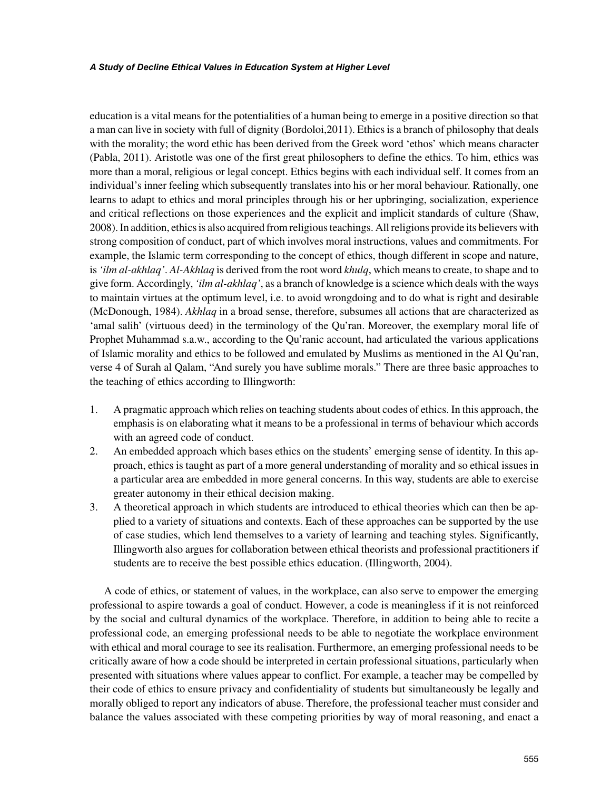education is a vital means for the potentialities of a human being to emerge in a positive direction so that a man can live in society with full of dignity (Bordoloi,2011). Ethics is a branch of philosophy that deals with the morality; the word ethic has been derived from the Greek word 'ethos' which means character (Pabla, 2011). Aristotle was one of the first great philosophers to define the ethics. To him, ethics was more than a moral, religious or legal concept. Ethics begins with each individual self. It comes from an individual's inner feeling which subsequently translates into his or her moral behaviour. Rationally, one learns to adapt to ethics and moral principles through his or her upbringing, socialization, experience and critical reflections on those experiences and the explicit and implicit standards of culture (Shaw, 2008). In addition, ethics is also acquired from religious teachings. All religions provide its believers with strong composition of conduct, part of which involves moral instructions, values and commitments. For example, the Islamic term corresponding to the concept of ethics, though different in scope and nature, is *'ilm al-akhlaq'*. *Al-Akhlaq* is derived from the root word *khulq*, which means to create, to shape and to give form. Accordingly, *'ilm al-akhlaq'*, as a branch of knowledge is a science which deals with the ways to maintain virtues at the optimum level, i.e. to avoid wrongdoing and to do what is right and desirable (McDonough, 1984). *Akhlaq* in a broad sense, therefore, subsumes all actions that are characterized as 'amal salih' (virtuous deed) in the terminology of the Qu'ran. Moreover, the exemplary moral life of Prophet Muhammad s.a.w., according to the Qu'ranic account, had articulated the various applications of Islamic morality and ethics to be followed and emulated by Muslims as mentioned in the Al Qu'ran, verse 4 of Surah al Qalam, "And surely you have sublime morals." There are three basic approaches to the teaching of ethics according to Illingworth:

- 1. A pragmatic approach which relies on teaching students about codes of ethics. In this approach, the emphasis is on elaborating what it means to be a professional in terms of behaviour which accords with an agreed code of conduct.
- 2. An embedded approach which bases ethics on the students' emerging sense of identity. In this approach, ethics is taught as part of a more general understanding of morality and so ethical issues in a particular area are embedded in more general concerns. In this way, students are able to exercise greater autonomy in their ethical decision making.
- 3. A theoretical approach in which students are introduced to ethical theories which can then be applied to a variety of situations and contexts. Each of these approaches can be supported by the use of case studies, which lend themselves to a variety of learning and teaching styles. Significantly, Illingworth also argues for collaboration between ethical theorists and professional practitioners if students are to receive the best possible ethics education. (Illingworth, 2004).

A code of ethics, or statement of values, in the workplace, can also serve to empower the emerging professional to aspire towards a goal of conduct. However, a code is meaningless if it is not reinforced by the social and cultural dynamics of the workplace. Therefore, in addition to being able to recite a professional code, an emerging professional needs to be able to negotiate the workplace environment with ethical and moral courage to see its realisation. Furthermore, an emerging professional needs to be critically aware of how a code should be interpreted in certain professional situations, particularly when presented with situations where values appear to conflict. For example, a teacher may be compelled by their code of ethics to ensure privacy and confidentiality of students but simultaneously be legally and morally obliged to report any indicators of abuse. Therefore, the professional teacher must consider and balance the values associated with these competing priorities by way of moral reasoning, and enact a